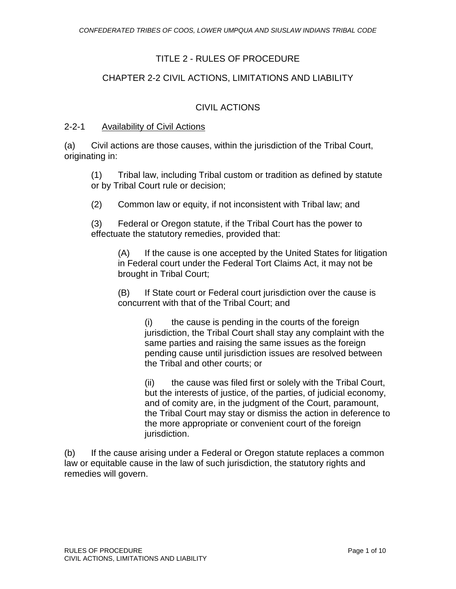# TITLE 2 - RULES OF PROCEDURE

# CHAPTER 2-2 CIVIL ACTIONS, LIMITATIONS AND LIABILITY

# CIVIL ACTIONS

#### 2-2-1 Availability of Civil Actions

(a) Civil actions are those causes, within the jurisdiction of the Tribal Court, originating in:

(1) Tribal law, including Tribal custom or tradition as defined by statute or by Tribal Court rule or decision;

(2) Common law or equity, if not inconsistent with Tribal law; and

(3) Federal or Oregon statute, if the Tribal Court has the power to effectuate the statutory remedies, provided that:

(A) If the cause is one accepted by the United States for litigation in Federal court under the Federal Tort Claims Act, it may not be brought in Tribal Court;

(B) If State court or Federal court jurisdiction over the cause is concurrent with that of the Tribal Court; and

> (i) the cause is pending in the courts of the foreign jurisdiction, the Tribal Court shall stay any complaint with the same parties and raising the same issues as the foreign pending cause until jurisdiction issues are resolved between the Tribal and other courts; or

(ii) the cause was filed first or solely with the Tribal Court, but the interests of justice, of the parties, of judicial economy, and of comity are, in the judgment of the Court, paramount, the Tribal Court may stay or dismiss the action in deference to the more appropriate or convenient court of the foreign jurisdiction.

(b) If the cause arising under a Federal or Oregon statute replaces a common law or equitable cause in the law of such jurisdiction, the statutory rights and remedies will govern.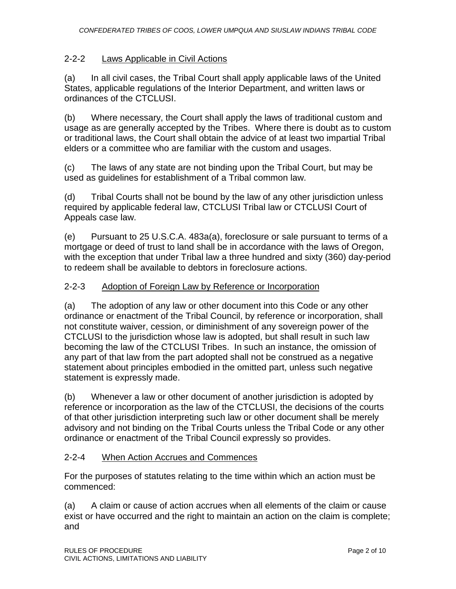# 2-2-2 Laws Applicable in Civil Actions

(a) In all civil cases, the Tribal Court shall apply applicable laws of the United States, applicable regulations of the Interior Department, and written laws or ordinances of the CTCLUSI.

(b) Where necessary, the Court shall apply the laws of traditional custom and usage as are generally accepted by the Tribes. Where there is doubt as to custom or traditional laws, the Court shall obtain the advice of at least two impartial Tribal elders or a committee who are familiar with the custom and usages.

(c) The laws of any state are not binding upon the Tribal Court, but may be used as guidelines for establishment of a Tribal common law.

(d) Tribal Courts shall not be bound by the law of any other jurisdiction unless required by applicable federal law, CTCLUSI Tribal law or CTCLUSI Court of Appeals case law.

(e) Pursuant to 25 U.S.C.A. 483a(a), foreclosure or sale pursuant to terms of a mortgage or deed of trust to land shall be in accordance with the laws of Oregon, with the exception that under Tribal law a three hundred and sixty (360) day-period to redeem shall be available to debtors in foreclosure actions.

## 2-2-3 Adoption of Foreign Law by Reference or Incorporation

(a) The adoption of any law or other document into this Code or any other ordinance or enactment of the Tribal Council, by reference or incorporation, shall not constitute waiver, cession, or diminishment of any sovereign power of the CTCLUSI to the jurisdiction whose law is adopted, but shall result in such law becoming the law of the CTCLUSI Tribes. In such an instance, the omission of any part of that law from the part adopted shall not be construed as a negative statement about principles embodied in the omitted part, unless such negative statement is expressly made.

(b) Whenever a law or other document of another jurisdiction is adopted by reference or incorporation as the law of the CTCLUSI, the decisions of the courts of that other jurisdiction interpreting such law or other document shall be merely advisory and not binding on the Tribal Courts unless the Tribal Code or any other ordinance or enactment of the Tribal Council expressly so provides.

# 2-2-4 When Action Accrues and Commences

For the purposes of statutes relating to the time within which an action must be commenced:

(a) A claim or cause of action accrues when all elements of the claim or cause exist or have occurred and the right to maintain an action on the claim is complete; and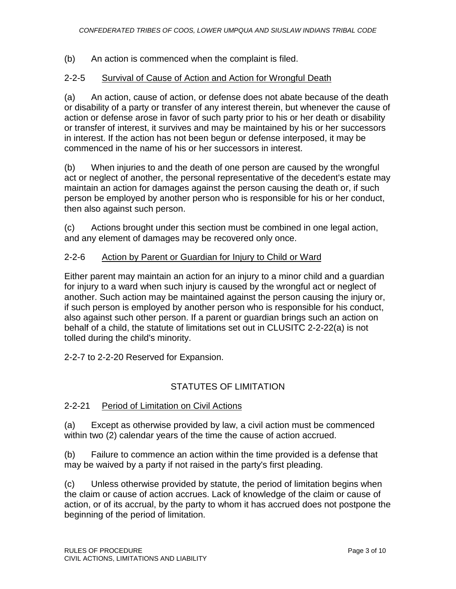# (b) An action is commenced when the complaint is filed.

## 2-2-5 Survival of Cause of Action and Action for Wrongful Death

(a) An action, cause of action, or defense does not abate because of the death or disability of a party or transfer of any interest therein, but whenever the cause of action or defense arose in favor of such party prior to his or her death or disability or transfer of interest, it survives and may be maintained by his or her successors in interest. If the action has not been begun or defense interposed, it may be commenced in the name of his or her successors in interest.

(b) When injuries to and the death of one person are caused by the wrongful act or neglect of another, the personal representative of the decedent's estate may maintain an action for damages against the person causing the death or, if such person be employed by another person who is responsible for his or her conduct, then also against such person.

(c) Actions brought under this section must be combined in one legal action, and any element of damages may be recovered only once.

## 2-2-6 Action by Parent or Guardian for Injury to Child or Ward

Either parent may maintain an action for an injury to a minor child and a guardian for injury to a ward when such injury is caused by the wrongful act or neglect of another. Such action may be maintained against the person causing the injury or, if such person is employed by another person who is responsible for his conduct, also against such other person. If a parent or guardian brings such an action on behalf of a child, the statute of limitations set out in CLUSITC 2-2-22(a) is not tolled during the child's minority.

2-2-7 to 2-2-20 Reserved for Expansion.

# STATUTES OF LIMITATION

#### 2-2-21 Period of Limitation on Civil Actions

(a) Except as otherwise provided by law, a civil action must be commenced within two (2) calendar years of the time the cause of action accrued.

(b) Failure to commence an action within the time provided is a defense that may be waived by a party if not raised in the party's first pleading.

(c) Unless otherwise provided by statute, the period of limitation begins when the claim or cause of action accrues. Lack of knowledge of the claim or cause of action, or of its accrual, by the party to whom it has accrued does not postpone the beginning of the period of limitation.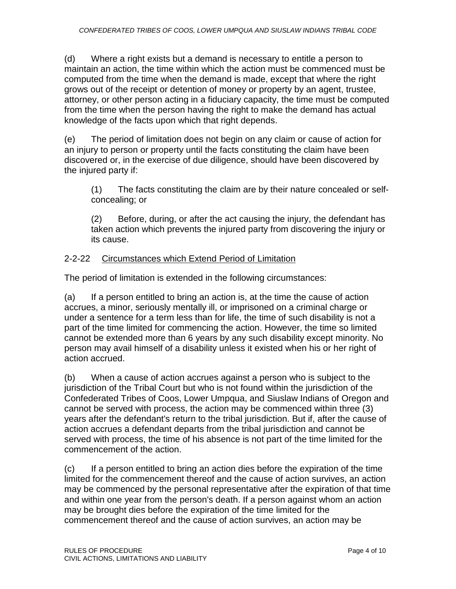(d) Where a right exists but a demand is necessary to entitle a person to maintain an action, the time within which the action must be commenced must be computed from the time when the demand is made, except that where the right grows out of the receipt or detention of money or property by an agent, trustee, attorney, or other person acting in a fiduciary capacity, the time must be computed from the time when the person having the right to make the demand has actual knowledge of the facts upon which that right depends.

(e) The period of limitation does not begin on any claim or cause of action for an injury to person or property until the facts constituting the claim have been discovered or, in the exercise of due diligence, should have been discovered by the injured party if:

(1) The facts constituting the claim are by their nature concealed or selfconcealing; or

(2) Before, during, or after the act causing the injury, the defendant has taken action which prevents the injured party from discovering the injury or its cause.

# 2-2-22 Circumstances which Extend Period of Limitation

The period of limitation is extended in the following circumstances:

(a) If a person entitled to bring an action is, at the time the cause of action accrues, a minor, seriously mentally ill, or imprisoned on a criminal charge or under a sentence for a term less than for life, the time of such disability is not a part of the time limited for commencing the action. However, the time so limited cannot be extended more than 6 years by any such disability except minority. No person may avail himself of a disability unless it existed when his or her right of action accrued.

(b) When a cause of action accrues against a person who is subject to the jurisdiction of the Tribal Court but who is not found within the jurisdiction of the Confederated Tribes of Coos, Lower Umpqua, and Siuslaw Indians of Oregon and cannot be served with process, the action may be commenced within three (3) years after the defendant's return to the tribal jurisdiction. But if, after the cause of action accrues a defendant departs from the tribal jurisdiction and cannot be served with process, the time of his absence is not part of the time limited for the commencement of the action.

(c) If a person entitled to bring an action dies before the expiration of the time limited for the commencement thereof and the cause of action survives, an action may be commenced by the personal representative after the expiration of that time and within one year from the person's death. If a person against whom an action may be brought dies before the expiration of the time limited for the commencement thereof and the cause of action survives, an action may be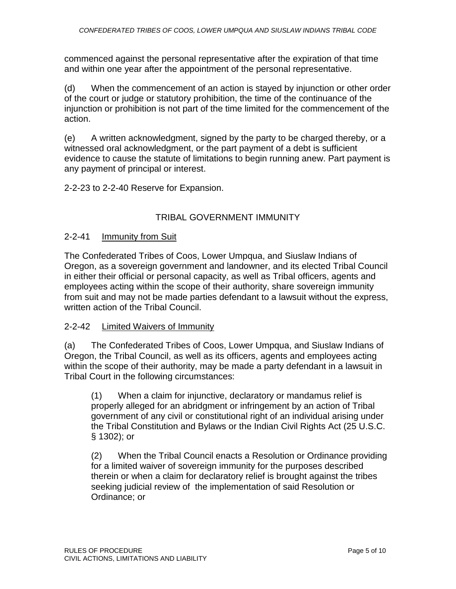commenced against the personal representative after the expiration of that time and within one year after the appointment of the personal representative.

(d) When the commencement of an action is stayed by injunction or other order of the court or judge or statutory prohibition, the time of the continuance of the injunction or prohibition is not part of the time limited for the commencement of the action.

(e) A written acknowledgment, signed by the party to be charged thereby, or a witnessed oral acknowledgment, or the part payment of a debt is sufficient evidence to cause the statute of limitations to begin running anew. Part payment is any payment of principal or interest.

2-2-23 to 2-2-40 Reserve for Expansion.

# TRIBAL GOVERNMENT IMMUNITY

## 2-2-41 Immunity from Suit

The Confederated Tribes of Coos, Lower Umpqua, and Siuslaw Indians of Oregon, as a sovereign government and landowner, and its elected Tribal Council in either their official or personal capacity, as well as Tribal officers, agents and employees acting within the scope of their authority, share sovereign immunity from suit and may not be made parties defendant to a lawsuit without the express, written action of the Tribal Council.

#### 2-2-42 Limited Waivers of Immunity

(a) The Confederated Tribes of Coos, Lower Umpqua, and Siuslaw Indians of Oregon, the Tribal Council, as well as its officers, agents and employees acting within the scope of their authority, may be made a party defendant in a lawsuit in Tribal Court in the following circumstances:

(1) When a claim for injunctive, declaratory or mandamus relief is properly alleged for an abridgment or infringement by an action of Tribal government of any civil or constitutional right of an individual arising under the Tribal Constitution and Bylaws or the Indian Civil Rights Act (25 U.S.C. § 1302); or

(2) When the Tribal Council enacts a Resolution or Ordinance providing for a limited waiver of sovereign immunity for the purposes described therein or when a claim for declaratory relief is brought against the tribes seeking judicial review of the implementation of said Resolution or Ordinance; or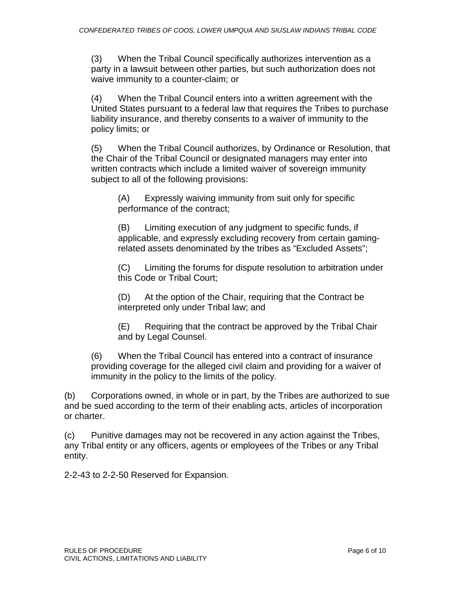(3) When the Tribal Council specifically authorizes intervention as a party in a lawsuit between other parties, but such authorization does not waive immunity to a counter-claim; or

(4) When the Tribal Council enters into a written agreement with the United States pursuant to a federal law that requires the Tribes to purchase liability insurance, and thereby consents to a waiver of immunity to the policy limits; or

(5) When the Tribal Council authorizes, by Ordinance or Resolution, that the Chair of the Tribal Council or designated managers may enter into written contracts which include a limited waiver of sovereign immunity subject to all of the following provisions:

(A) Expressly waiving immunity from suit only for specific performance of the contract;

(B) Limiting execution of any judgment to specific funds, if applicable, and expressly excluding recovery from certain gamingrelated assets denominated by the tribes as "Excluded Assets";

(C) Limiting the forums for dispute resolution to arbitration under this Code or Tribal Court;

(D) At the option of the Chair, requiring that the Contract be interpreted only under Tribal law; and

(E) Requiring that the contract be approved by the Tribal Chair and by Legal Counsel.

(6) When the Tribal Council has entered into a contract of insurance providing coverage for the alleged civil claim and providing for a waiver of immunity in the policy to the limits of the policy.

(b) Corporations owned, in whole or in part, by the Tribes are authorized to sue and be sued according to the term of their enabling acts, articles of incorporation or charter.

(c) Punitive damages may not be recovered in any action against the Tribes, any Tribal entity or any officers, agents or employees of the Tribes or any Tribal entity.

2-2-43 to 2-2-50 Reserved for Expansion.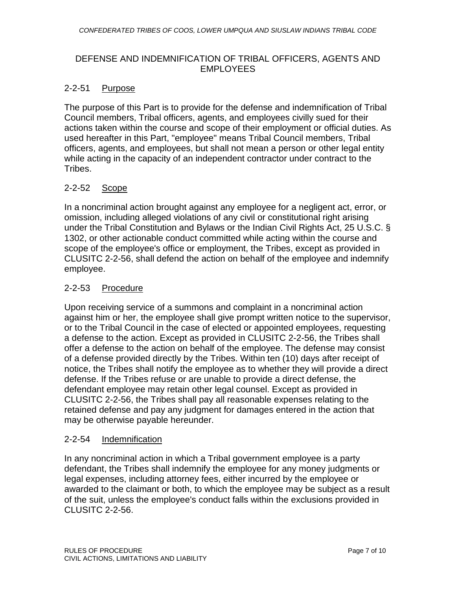### DEFENSE AND INDEMNIFICATION OF TRIBAL OFFICERS, AGENTS AND EMPLOYEES

#### 2-2-51 Purpose

The purpose of this Part is to provide for the defense and indemnification of Tribal Council members, Tribal officers, agents, and employees civilly sued for their actions taken within the course and scope of their employment or official duties. As used hereafter in this Part, "employee" means Tribal Council members, Tribal officers, agents, and employees, but shall not mean a person or other legal entity while acting in the capacity of an independent contractor under contract to the Tribes.

# 2-2-52 Scope

In a noncriminal action brought against any employee for a negligent act, error, or omission, including alleged violations of any civil or constitutional right arising under the Tribal Constitution and Bylaws or the Indian Civil Rights Act, 25 U.S.C. § 1302, or other actionable conduct committed while acting within the course and scope of the employee's office or employment, the Tribes, except as provided in CLUSITC 2-2-56, shall defend the action on behalf of the employee and indemnify employee.

## 2-2-53 Procedure

Upon receiving service of a summons and complaint in a noncriminal action against him or her, the employee shall give prompt written notice to the supervisor, or to the Tribal Council in the case of elected or appointed employees, requesting a defense to the action. Except as provided in CLUSITC 2-2-56, the Tribes shall offer a defense to the action on behalf of the employee. The defense may consist of a defense provided directly by the Tribes. Within ten (10) days after receipt of notice, the Tribes shall notify the employee as to whether they will provide a direct defense. If the Tribes refuse or are unable to provide a direct defense, the defendant employee may retain other legal counsel. Except as provided in CLUSITC 2-2-56, the Tribes shall pay all reasonable expenses relating to the retained defense and pay any judgment for damages entered in the action that may be otherwise payable hereunder.

#### 2-2-54 Indemnification

In any noncriminal action in which a Tribal government employee is a party defendant, the Tribes shall indemnify the employee for any money judgments or legal expenses, including attorney fees, either incurred by the employee or awarded to the claimant or both, to which the employee may be subject as a result of the suit, unless the employee's conduct falls within the exclusions provided in CLUSITC 2-2-56.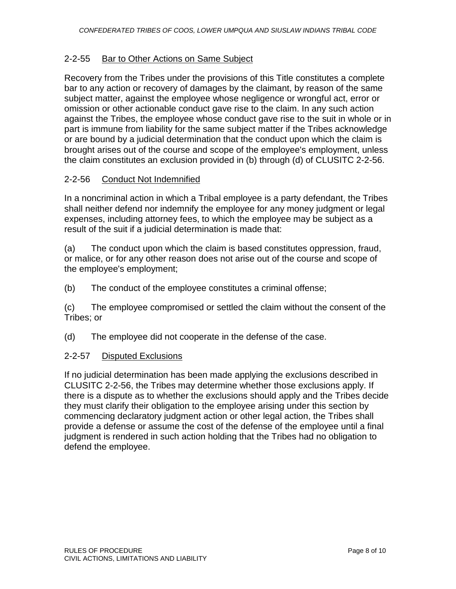## 2-2-55 Bar to Other Actions on Same Subject

Recovery from the Tribes under the provisions of this Title constitutes a complete bar to any action or recovery of damages by the claimant, by reason of the same subject matter, against the employee whose negligence or wrongful act, error or omission or other actionable conduct gave rise to the claim. In any such action against the Tribes, the employee whose conduct gave rise to the suit in whole or in part is immune from liability for the same subject matter if the Tribes acknowledge or are bound by a judicial determination that the conduct upon which the claim is brought arises out of the course and scope of the employee's employment, unless the claim constitutes an exclusion provided in (b) through (d) of CLUSITC 2-2-56.

## 2-2-56 Conduct Not Indemnified

In a noncriminal action in which a Tribal employee is a party defendant, the Tribes shall neither defend nor indemnify the employee for any money judgment or legal expenses, including attorney fees, to which the employee may be subject as a result of the suit if a judicial determination is made that:

(a) The conduct upon which the claim is based constitutes oppression, fraud, or malice, or for any other reason does not arise out of the course and scope of the employee's employment;

(b) The conduct of the employee constitutes a criminal offense;

(c) The employee compromised or settled the claim without the consent of the Tribes; or

(d) The employee did not cooperate in the defense of the case.

#### 2-2-57 Disputed Exclusions

If no judicial determination has been made applying the exclusions described in CLUSITC 2-2-56, the Tribes may determine whether those exclusions apply. If there is a dispute as to whether the exclusions should apply and the Tribes decide they must clarify their obligation to the employee arising under this section by commencing declaratory judgment action or other legal action, the Tribes shall provide a defense or assume the cost of the defense of the employee until a final judgment is rendered in such action holding that the Tribes had no obligation to defend the employee.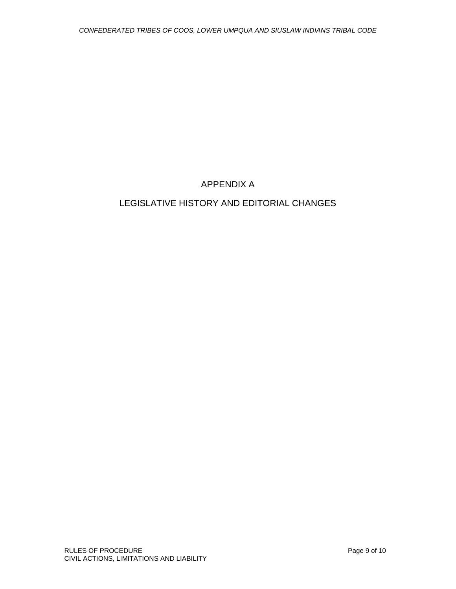# APPENDIX A

# LEGISLATIVE HISTORY AND EDITORIAL CHANGES